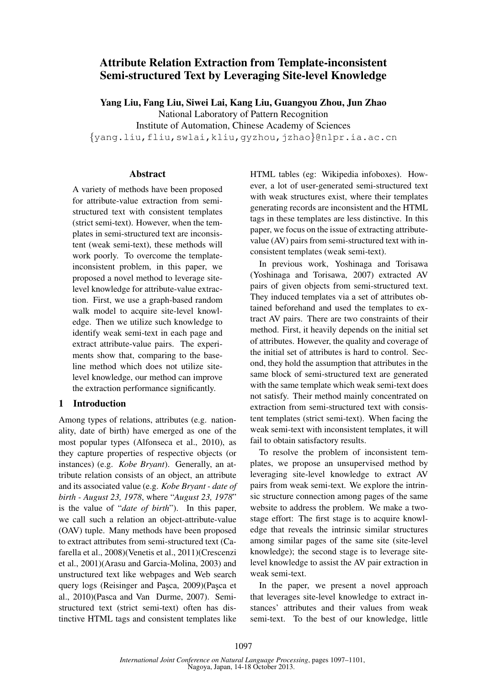# Attribute Relation Extraction from Template-inconsistent Semi-structured Text by Leveraging Site-level Knowledge

Yang Liu, Fang Liu, Siwei Lai, Kang Liu, Guangyou Zhou, Jun Zhao National Laboratory of Pattern Recognition Institute of Automation, Chinese Academy of Sciences {yang.liu,fliu,swlai,kliu,gyzhou,jzhao}@nlpr.ia.ac.cn

### Abstract

A variety of methods have been proposed for attribute-value extraction from semistructured text with consistent templates (strict semi-text). However, when the templates in semi-structured text are inconsistent (weak semi-text), these methods will work poorly. To overcome the templateinconsistent problem, in this paper, we proposed a novel method to leverage sitelevel knowledge for attribute-value extraction. First, we use a graph-based random walk model to acquire site-level knowledge. Then we utilize such knowledge to identify weak semi-text in each page and extract attribute-value pairs. The experiments show that, comparing to the baseline method which does not utilize sitelevel knowledge, our method can improve the extraction performance significantly.

## 1 Introduction

Among types of relations, attributes (e.g. nationality, date of birth) have emerged as one of the most popular types (Alfonseca et al., 2010), as they capture properties of respective objects (or instances) (e.g. *Kobe Bryant*). Generally, an attribute relation consists of an object, an attribute and its associated value (e.g. *Kobe Bryant - date of birth - August 23, 1978*, where "*August 23, 1978*" is the value of "*date of birth*"). In this paper, we call such a relation an object-attribute-value (OAV) tuple. Many methods have been proposed to extract attributes from semi-structured text (Cafarella et al., 2008)(Venetis et al., 2011)(Crescenzi et al., 2001)(Arasu and Garcia-Molina, 2003) and unstructured text like webpages and Web search query logs (Reisinger and Pasca, 2009)(Pasca et al., 2010)(Pasca and Van Durme, 2007). Semistructured text (strict semi-text) often has distinctive HTML tags and consistent templates like

HTML tables (eg: Wikipedia infoboxes). However, a lot of user-generated semi-structured text with weak structures exist, where their templates generating records are inconsistent and the HTML tags in these templates are less distinctive. In this paper, we focus on the issue of extracting attributevalue (AV) pairs from semi-structured text with inconsistent templates (weak semi-text).

In previous work, Yoshinaga and Torisawa (Yoshinaga and Torisawa, 2007) extracted AV pairs of given objects from semi-structured text. They induced templates via a set of attributes obtained beforehand and used the templates to extract AV pairs. There are two constraints of their method. First, it heavily depends on the initial set of attributes. However, the quality and coverage of the initial set of attributes is hard to control. Second, they hold the assumption that attributes in the same block of semi-structured text are generated with the same template which weak semi-text does not satisfy. Their method mainly concentrated on extraction from semi-structured text with consistent templates (strict semi-text). When facing the weak semi-text with inconsistent templates, it will fail to obtain satisfactory results.

To resolve the problem of inconsistent templates, we propose an unsupervised method by leveraging site-level knowledge to extract AV pairs from weak semi-text. We explore the intrinsic structure connection among pages of the same website to address the problem. We make a twostage effort: The first stage is to acquire knowledge that reveals the intrinsic similar structures among similar pages of the same site (site-level knowledge); the second stage is to leverage sitelevel knowledge to assist the AV pair extraction in weak semi-text.

In the paper, we present a novel approach that leverages site-level knowledge to extract instances' attributes and their values from weak semi-text. To the best of our knowledge, little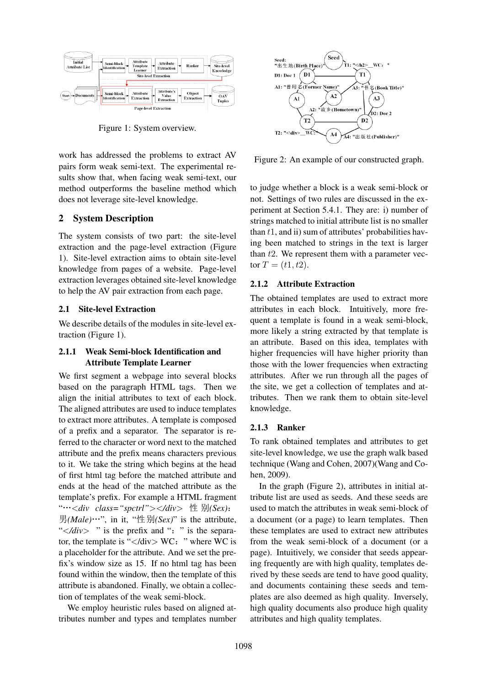

Figure 1: System overview.

work has addressed the problems to extract AV pairs form weak semi-text. The experimental results show that, when facing weak semi-text, our method outperforms the baseline method which does not leverage site-level knowledge.

#### 2 System Description

The system consists of two part: the site-level extraction and the page-level extraction (Figure 1). Site-level extraction aims to obtain site-level knowledge from pages of a website. Page-level extraction leverages obtained site-level knowledge to help the AV pair extraction from each page.

### 2.1 Site-level Extraction

We describe details of the modules in site-level extraction (Figure 1).

### 2.1.1 Weak Semi-block Identification and Attribute Template Learner

We first segment a webpage into several blocks based on the paragraph HTML tags. Then we align the initial attributes to text of each block. The aligned attributes are used to induce templates to extract more attributes. A template is composed of a prefix and a separator. The separator is referred to the character or word next to the matched attribute and the prefix means characters previous to it. We take the string which begins at the head of first html tag before the matched attribute and ends at the head of the matched attribute as the template's prefix. For example a HTML fragment "···<div class="spctrl"></div> 性 别(Sex):  $\exists f(Male) \cdots$ , in it, " $\forall \exists f(Sex)$ " is the attribute, " $\lt \lt \lt du$  " is the prefix and ": " is the separator, the template is " $\langle$ div $\rangle$  WC: " where WC is a placeholder for the attribute. And we set the prefix's window size as 15. If no html tag has been found within the window, then the template of this attribute is abandoned. Finally, we obtain a collection of templates of the weak semi-block.

We employ heuristic rules based on aligned attributes number and types and templates number



Figure 2: An example of our constructed graph.

to judge whether a block is a weak semi-block or not. Settings of two rules are discussed in the experiment at Section 5.4.1. They are: i) number of strings matched to initial attribute list is no smaller than  $t1$ , and ii) sum of attributes' probabilities having been matched to strings in the text is larger than  $t2$ . We represent them with a parameter vector  $T = (t1, t2)$ .

#### 2.1.2 Attribute Extraction

The obtained templates are used to extract more attributes in each block. Intuitively, more frequent a template is found in a weak semi-block, more likely a string extracted by that template is an attribute. Based on this idea, templates with higher frequencies will have higher priority than those with the lower frequencies when extracting attributes. After we run through all the pages of the site, we get a collection of templates and attributes. Then we rank them to obtain site-level knowledge.

#### 2.1.3 Ranker

To rank obtained templates and attributes to get site-level knowledge, we use the graph walk based technique (Wang and Cohen, 2007)(Wang and Cohen, 2009).

In the graph (Figure 2), attributes in initial attribute list are used as seeds. And these seeds are used to match the attributes in weak semi-block of a document (or a page) to learn templates. Then these templates are used to extract new attributes from the weak semi-block of a document (or a page). Intuitively, we consider that seeds appearing frequently are with high quality, templates derived by these seeds are tend to have good quality, and documents containing these seeds and templates are also deemed as high quality. Inversely, high quality documents also produce high quality attributes and high quality templates.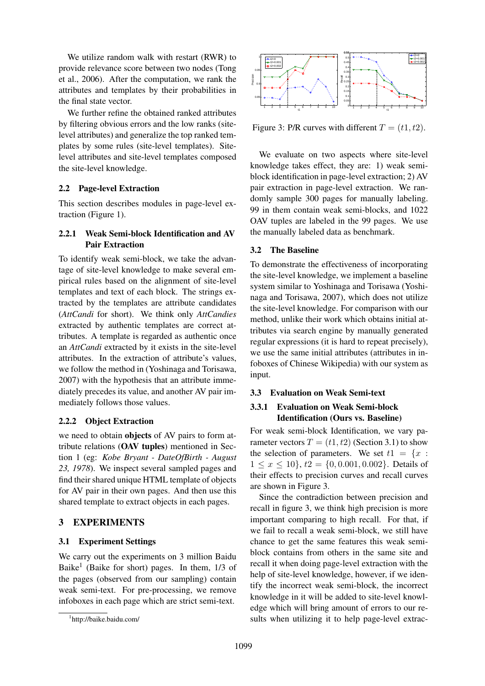We utilize random walk with restart (RWR) to provide relevance score between two nodes (Tong et al., 2006). After the computation, we rank the attributes and templates by their probabilities in the final state vector.

We further refine the obtained ranked attributes by filtering obvious errors and the low ranks (sitelevel attributes) and generalize the top ranked templates by some rules (site-level templates). Sitelevel attributes and site-level templates composed the site-level knowledge.

## 2.2 Page-level Extraction

This section describes modules in page-level extraction (Figure 1).

## 2.2.1 Weak Semi-block Identification and AV Pair Extraction

To identify weak semi-block, we take the advantage of site-level knowledge to make several empirical rules based on the alignment of site-level templates and text of each block. The strings extracted by the templates are attribute candidates (*AttCandi* for short). We think only *AttCandies* extracted by authentic templates are correct attributes. A template is regarded as authentic once an *AttCandi* extracted by it exists in the site-level attributes. In the extraction of attribute's values, we follow the method in (Yoshinaga and Torisawa, 2007) with the hypothesis that an attribute immediately precedes its value, and another AV pair immediately follows those values.

## 2.2.2 Object Extraction

we need to obtain objects of AV pairs to form attribute relations (OAV tuples) mentioned in Section 1 (eg: *Kobe Bryant - DateOfBirth - August 23, 1978*). We inspect several sampled pages and find their shared unique HTML template of objects for AV pair in their own pages. And then use this shared template to extract objects in each pages.

## 3 EXPERIMENTS

### 3.1 Experiment Settings

We carry out the experiments on 3 million Baidu Baike<sup>1</sup> (Baike for short) pages. In them, 1/3 of the pages (observed from our sampling) contain weak semi-text. For pre-processing, we remove infoboxes in each page which are strict semi-text.



Figure 3: P/R curves with different  $T = (t1, t2)$ .

We evaluate on two aspects where site-level knowledge takes effect, they are: 1) weak semiblock identification in page-level extraction; 2) AV pair extraction in page-level extraction. We randomly sample 300 pages for manually labeling. 99 in them contain weak semi-blocks, and 1022 OAV tuples are labeled in the 99 pages. We use the manually labeled data as benchmark.

### 3.2 The Baseline

To demonstrate the effectiveness of incorporating the site-level knowledge, we implement a baseline system similar to Yoshinaga and Torisawa (Yoshinaga and Torisawa, 2007), which does not utilize the site-level knowledge. For comparison with our method, unlike their work which obtains initial attributes via search engine by manually generated regular expressions (it is hard to repeat precisely), we use the same initial attributes (attributes in infoboxes of Chinese Wikipedia) with our system as input.

### 3.3 Evaluation on Weak Semi-text

## 3.3.1 Evaluation on Weak Semi-block Identification (Ours vs. Baseline)

For weak semi-block Identification, we vary parameter vectors  $T = (t1, t2)$  (Section 3.1) to show the selection of parameters. We set  $t1 = \{x :$  $1 \leq x \leq 10$ ,  $t2 = \{0, 0.001, 0.002\}$ . Details of their effects to precision curves and recall curves are shown in Figure 3.

Since the contradiction between precision and recall in figure 3, we think high precision is more important comparing to high recall. For that, if we fail to recall a weak semi-block, we still have chance to get the same features this weak semiblock contains from others in the same site and recall it when doing page-level extraction with the help of site-level knowledge, however, if we identify the incorrect weak semi-block, the incorrect knowledge in it will be added to site-level knowledge which will bring amount of errors to our results when utilizing it to help page-level extrac-

<sup>1</sup> http://baike.baidu.com/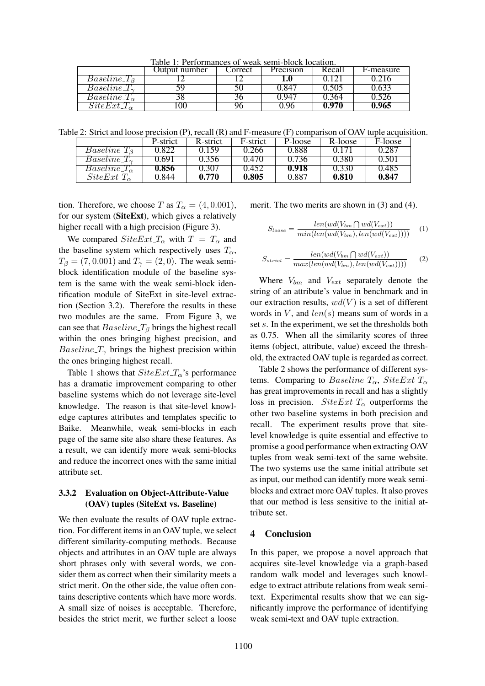Table 1: Performances of weak semi-block location.

|                           | Jutput number | `orrect | Precision     | Recall | F-measure |
|---------------------------|---------------|---------|---------------|--------|-----------|
| <i>Baseline_T</i>         |               |         |               |        |           |
| $Baseline \, T_{\gamma}$  |               |         | .84           | ).505  | 1.633     |
| $Baseline \perp \n\alpha$ |               |         | $194^{\circ}$ | . 364  | .326      |
| $SiteExt\_T_{\alpha}$     |               |         |               | 0.970  | 0.965     |

Table 2: Strict and loose precision (P), recall (R) and F-measure (F) comparison of OAV tuple acquisition.

|                          | P-strict         | R-strict | F-strict | P-loose | R-loose | F-loose |
|--------------------------|------------------|----------|----------|---------|---------|---------|
| $Baseline \perp_B$       | 1.822            | () 159   | 0.266    | 0.888   |         | 0.287   |
| $Baseline \perp'_{\sim}$ | 169 <sub>1</sub> |          | 0.470    | J.736   | 0.380   | 0.50    |
| $Baseline T_{\alpha}$    | 0.856            | ). 30.   | 0.452    | 0.918   | 1.330   | 0.485   |
| $SiteExt T_{\alpha}$     | .844             | 0.770    | 0.805    | 0.887   | 0.810   | 0.847   |

tion. Therefore, we choose T as  $T_{\alpha} = (4, 0.001)$ , for our system (SiteExt), which gives a relatively higher recall with a high precision (Figure 3).

We compared  $SiteExt T_{\alpha}$  with  $T = T_{\alpha}$  and the baseline system which respectively uses  $T_{\alpha}$ ,  $T_{\beta} = (7, 0.001)$  and  $T_{\gamma} = (2, 0)$ . The weak semiblock identification module of the baseline system is the same with the weak semi-block identification module of SiteExt in site-level extraction (Section 3.2). Therefore the results in these two modules are the same. From Figure 3, we can see that  $Baseline_T_{\beta}$  brings the highest recall within the ones bringing highest precision, and *Baseline*  $T_{\gamma}$  brings the highest precision within the ones bringing highest recall.

Table 1 shows that  $SiteExt T_{\alpha}$ 's performance has a dramatic improvement comparing to other baseline systems which do not leverage site-level knowledge. The reason is that site-level knowledge captures attributes and templates specific to Baike. Meanwhile, weak semi-blocks in each page of the same site also share these features. As a result, we can identify more weak semi-blocks and reduce the incorrect ones with the same initial attribute set.

### 3.3.2 Evaluation on Object-Attribute-Value (OAV) tuples (SiteExt vs. Baseline)

We then evaluate the results of OAV tuple extraction. For different items in an OAV tuple, we select different similarity-computing methods. Because objects and attributes in an OAV tuple are always short phrases only with several words, we consider them as correct when their similarity meets a strict merit. On the other side, the value often contains descriptive contents which have more words. A small size of noises is acceptable. Therefore, besides the strict merit, we further select a loose merit. The two merits are shown in (3) and (4).

$$
S_{loose} = \frac{len(wd(V_{bm} \bigcap wd(V_{ext}))}{min(len(wd(V_{bm}), len(wd(V_{ext}))))} \quad (1)
$$

$$
S_{strict} = \frac{len(wd(V_{bm} \bigcap wd(V_{ext}))}{max(len(wd(V_{bm}), len(wd(V_{ext}))))} \tag{2}
$$

Where  $V_{bm}$  and  $V_{ext}$  separately denote the string of an attribute's value in benchmark and in our extraction results,  $wd(V)$  is a set of different words in  $V$ , and  $len(s)$  means sum of words in a set s. In the experiment, we set the thresholds both as 0.75. When all the similarity scores of three items (object, attribute, value) exceed the threshold, the extracted OAV tuple is regarded as correct.

Table 2 shows the performance of different systems. Comparing to Baseline  $T_{\alpha}$ , SiteExt  $T_{\alpha}$ has great improvements in recall and has a slightly loss in precision.  $SiteExt\_T_{\alpha}$  outperforms the other two baseline systems in both precision and recall. The experiment results prove that sitelevel knowledge is quite essential and effective to promise a good performance when extracting OAV tuples from weak semi-text of the same website. The two systems use the same initial attribute set as input, our method can identify more weak semiblocks and extract more OAV tuples. It also proves that our method is less sensitive to the initial attribute set.

#### 4 Conclusion

In this paper, we propose a novel approach that acquires site-level knowledge via a graph-based random walk model and leverages such knowledge to extract attribute relations from weak semitext. Experimental results show that we can significantly improve the performance of identifying weak semi-text and OAV tuple extraction.